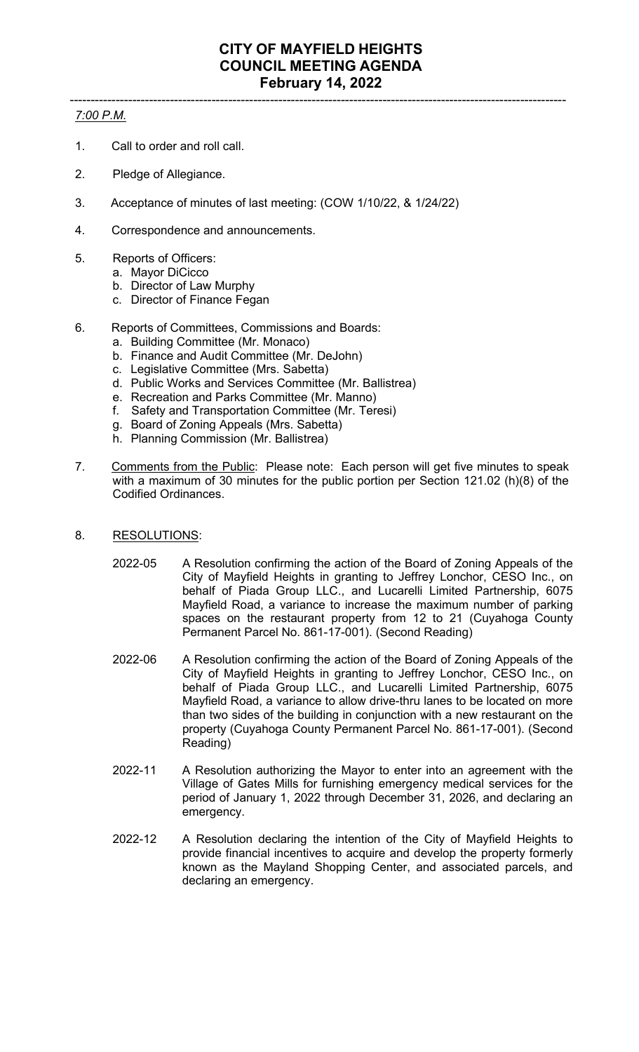## ----------------------------------------------------------------------------------------------------------------------- *7:00 P.M.*

- 1. Call to order and roll call.
- 2. Pledge of Allegiance.
- 3. Acceptance of minutes of last meeting: (COW 1/10/22, & 1/24/22)
- 4. Correspondence and announcements.
- 5. Reports of Officers:
	- a. Mayor DiCicco
	- b. Director of Law Murphy
	- c. Director of Finance Fegan
- 6. Reports of Committees, Commissions and Boards:
	- a. Building Committee (Mr. Monaco)
	- b. Finance and Audit Committee (Mr. DeJohn)
	- c. Legislative Committee (Mrs. Sabetta)
	- d. Public Works and Services Committee (Mr. Ballistrea)
	- e. Recreation and Parks Committee (Mr. Manno)
	- f. Safety and Transportation Committee (Mr. Teresi)
	- g. Board of Zoning Appeals (Mrs. Sabetta)
	- h. Planning Commission (Mr. Ballistrea)
- 7. Comments from the Public: Please note: Each person will get five minutes to speak with a maximum of 30 minutes for the public portion per Section 121.02 (h)(8) of the Codified Ordinances.
- 8. RESOLUTIONS:
	- 2022-05 A Resolution confirming the action of the Board of Zoning Appeals of the City of Mayfield Heights in granting to Jeffrey Lonchor, CESO Inc., on behalf of Piada Group LLC., and Lucarelli Limited Partnership, 6075 Mayfield Road, a variance to increase the maximum number of parking spaces on the restaurant property from 12 to 21 (Cuyahoga County Permanent Parcel No. 861-17-001). (Second Reading)
	- 2022-06 A Resolution confirming the action of the Board of Zoning Appeals of the City of Mayfield Heights in granting to Jeffrey Lonchor, CESO Inc., on behalf of Piada Group LLC., and Lucarelli Limited Partnership, 6075 Mayfield Road, a variance to allow drive-thru lanes to be located on more than two sides of the building in conjunction with a new restaurant on the property (Cuyahoga County Permanent Parcel No. 861-17-001). (Second Reading)
	- 2022-11 A Resolution authorizing the Mayor to enter into an agreement with the Village of Gates Mills for furnishing emergency medical services for the period of January 1, 2022 through December 31, 2026, and declaring an emergency.
	- 2022-12 A Resolution declaring the intention of the City of Mayfield Heights to provide financial incentives to acquire and develop the property formerly known as the Mayland Shopping Center, and associated parcels, and declaring an emergency.